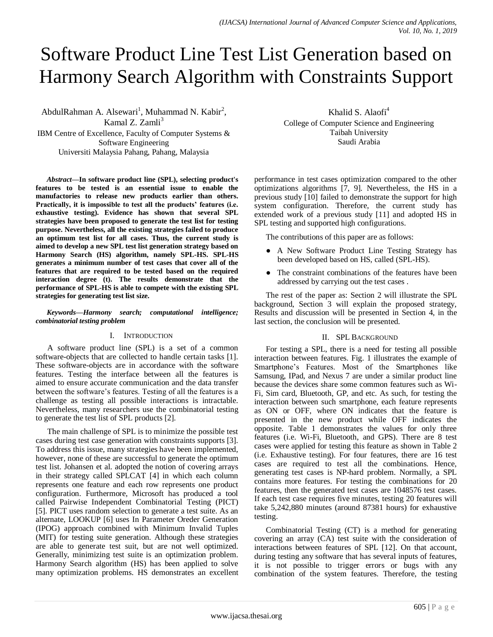# Software Product Line Test List Generation based on Harmony Search Algorithm with Constraints Support

AbdulRahman A. Alsewari<sup>1</sup>, Muhammad N. Kabir<sup>2</sup>, Kamal Z. Zamli<sup>3</sup>

IBM Centre of Excellence, Faculty of Computer Systems & Software Engineering Universiti Malaysia Pahang, Pahang, Malaysia

*Abstract***—In software product line (SPL), selecting product's features to be tested is an essential issue to enable the manufactories to release new products earlier than others. Practically, it is impossible to test all the products' features (i.e. exhaustive testing). Evidence has shown that several SPL strategies have been proposed to generate the test list for testing purpose. Nevertheless, all the existing strategies failed to produce an optimum test list for all cases. Thus, the current study is aimed to develop a new SPL test list generation strategy based on Harmony Search (HS) algorithm, namely SPL-HS. SPL-HS generates a minimum number of test cases that cover all of the features that are required to be tested based on the required interaction degree (t). The results demonstrate that the performance of SPL-HS is able to compete with the existing SPL strategies for generating test list size.**

*Keywords—Harmony search; computational intelligence; combinatorial testing problem*

### I. INTRODUCTION

A software product line (SPL) is a set of a common software-objects that are collected to handle certain tasks [1]. These software-objects are in accordance with the software features. Testing the interface between all the features is aimed to ensure accurate communication and the data transfer between the software's features. Testing of all the features is a challenge as testing all possible interactions is intractable. Nevertheless, many researchers use the combinatorial testing to generate the test list of SPL products [2].

The main challenge of SPL is to minimize the possible test cases during test case generation with constraints supports [3]. To address this issue, many strategies have been implemented, however, none of these are successful to generate the optimum test list. Johansen et al. adopted the notion of covering arrays in their strategy called SPLCAT [4] in which each column represents one feature and each row represents one product configuration. Furthermore, Microsoft has produced a tool called Pairwise Independent Combinatorial Testing (PICT) [5]. PICT uses random selection to generate a test suite. As an alternate, LOOKUP [6] uses In Parameter Oreder Generation (IPOG) approach combined with Minimum Invalid Tuples (MIT) for testing suite generation. Although these strategies are able to generate test suit, but are not well optimized. Generally, minimizing test suite is an optimization problem. Harmony Search algorithm (HS) has been applied to solve many optimization problems. HS demonstrates an excellent

Khalid S. Alaofi<sup>4</sup> College of Computer Science and Engineering Taibah University Saudi Arabia

performance in test cases optimization compared to the other optimizations algorithms [7, 9]. Nevertheless, the HS in a previous study [10] failed to demonstrate the support for high system configuration. Therefore, the current study has extended work of a previous study [11] and adopted HS in SPL testing and supported high configurations.

The contributions of this paper are as follows:

- A New Software Product Line Testing Strategy has been developed based on HS, called (SPL-HS).
- The constraint combinations of the features have been addressed by carrying out the test cases .

The rest of the paper as: Section 2 will illustrate the SPL background, Section 3 will explain the proposed strategy, Results and discussion will be presented in Section 4, in the last section, the conclusion will be presented.

## II. SPL BACKGROUND

For testing a SPL, there is a need for testing all possible interaction between features. Fig. 1 illustrates the example of Smartphone's Features. Most of the Smartphones like Samsung, IPad, and Nexus 7 are under a similar product line because the devices share some common features such as Wi-Fi, Sim card, Bluetooth, GP, and etc. As such, for testing the interaction between such smartphone, each feature represents as ON or OFF, where ON indicates that the feature is presented in the new product while OFF indicates the opposite. Table 1 demonstrates the values for only three features (i.e. Wi-Fi, Bluetooth, and GPS). There are 8 test cases were applied for testing this feature as shown in Table 2 (i.e. Exhaustive testing). For four features, there are 16 test cases are required to test all the combinations. Hence, generating test cases is NP-hard problem. Normally, a SPL contains more features. For testing the combinations for 20 features, then the generated test cases are 1048576 test cases. If each test case requires five minutes, testing 20 features will take 5,242,880 minutes (around 87381 hours) for exhaustive testing.

Combinatorial Testing (CT) is a method for generating covering an array (CA) test suite with the consideration of interactions between features of SPL [12]. On that account, during testing any software that has several inputs of features, it is not possible to trigger errors or bugs with any combination of the system features. Therefore, the testing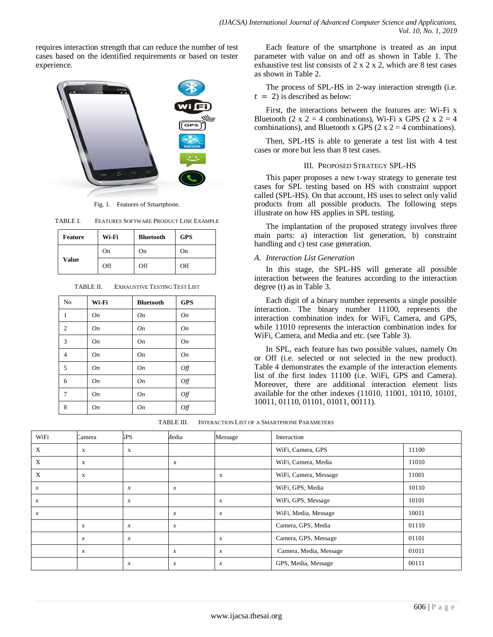requires interaction strength that can reduce the number of test cases based on the identified requirements or based on tester experience.



Fig. 1. Features of Smartphone.

| TABLE I. | FEATURES SOFTWARE PRODUCT LINE EXAMPLE |
|----------|----------------------------------------|
|          |                                        |

| <b>Feature</b> | Wi-Fi | <b>Bluetooth</b> | <b>GPS</b> |
|----------------|-------|------------------|------------|
| Value          | On    | On               | On         |
|                | Off   | Off              | Off        |

| No             | Wi-Fi | <b>Bluetooth</b> | <b>GPS</b> |
|----------------|-------|------------------|------------|
| $\mathbf{1}$   | On    | On               | On         |
| $\overline{2}$ | On    | On               | On         |
| $\overline{3}$ | On    | On               | On         |
| $\overline{4}$ | On    | On               | On         |
| 5              | On    | On               | Off        |
| 6              | On    | On               | Off        |
| $\tau$         | On    | On               | Off        |
| 8              | On    | On               | Off        |

TABLE II. EXHAUSTIVE TESTING TEST LIST

Each feature of the smartphone is treated as an input parameter with value on and off as shown in Table 1. The exhaustive test list consists of  $2 \times 2 \times 2$ , which are 8 test cases as shown in Table 2.

The process of SPL-HS in 2-way interaction strength (i.e.  $t = 2$ ) is described as below:

First, the interactions between the features are: Wi-Fi x Bluetooth (2 x 2 = 4 combinations), Wi-Fi x GPS (2 x 2 = 4 combinations), and Bluetooth x GPS (2 x 2 = 4 combinations).

Then, SPL-HS is able to generate a test list with 4 test cases or more but less than 8 test cases.

### III. PROPOSED STRATEGY SPL-HS

This paper proposes a new t-way strategy to generate test cases for SPL testing based on HS with constraint support called (SPL-HS). On that account, HS uses to select only valid products from all possible products. The following steps illustrate on how HS applies in SPL testing.

The implantation of the proposed strategy involves three main parts: a) interaction list generation, b) constraint handling and c) test case generation.

#### *A. Interaction List Generation*

In this stage, the SPL-HS will generate all possible interaction between the features according to the interaction degree (t) as in Table 3.

Each digit of a binary number represents a single possible interaction. The binary number 11100, represents the interaction combination index for WiFi, Camera, and GPS, while 11010 represents the interaction combination index for WiFi, Camera, and Media and etc. (see Table 3).

In SPL, each feature has two possible values, namely On or Off (i.e. selected or not selected in the new product). Table 4 demonstrates the example of the interaction elements list of the first index 11100 (i.e. WiFi, GPS and Camera). Moreover, there are additional interaction element lists available for the other indexes (11010, 11001, 10110, 10101, 10011, 01110, 01101, 01011, 00111).

| <b>INTERACTION LIST OF A SMARTPHONE PARAMETERS</b><br>TABLE III. |
|------------------------------------------------------------------|
|------------------------------------------------------------------|

| WiFi             | Camera           | <b>GPS</b>       | <b>Aedia</b>     | Message          | Interaction            |       |
|------------------|------------------|------------------|------------------|------------------|------------------------|-------|
| X                | X                | X                |                  |                  | WiFi, Camera, GPS      | 11100 |
| X                | X                |                  | X                |                  | WiFi, Camera, Media    | 11010 |
| X                | X                |                  |                  | X                | WiFi, Camera, Message  | 11001 |
| $\boldsymbol{x}$ |                  | $\boldsymbol{x}$ | $\mathcal{X}$    |                  | WiFi, GPS, Media       | 10110 |
| $\boldsymbol{x}$ |                  | $\boldsymbol{x}$ |                  | $\boldsymbol{x}$ | WiFi, GPS, Message     | 10101 |
| $\mathcal{X}$    |                  |                  | $\mathcal{X}$    | $\mathcal{X}$    | WiFi, Media, Message   | 10011 |
|                  | $\boldsymbol{x}$ | $\boldsymbol{x}$ | $\mathcal{X}$    |                  | Camera, GPS, Media     | 01110 |
|                  | $\boldsymbol{x}$ | $\boldsymbol{x}$ |                  | $\boldsymbol{x}$ | Camera, GPS, Message   | 01101 |
|                  | $\boldsymbol{x}$ |                  | $\mathcal{X}$    | $\mathcal{X}$    | Camera, Media, Message | 01011 |
|                  |                  | $\boldsymbol{x}$ | $\boldsymbol{x}$ | $\boldsymbol{x}$ | GPS, Media, Message    | 00111 |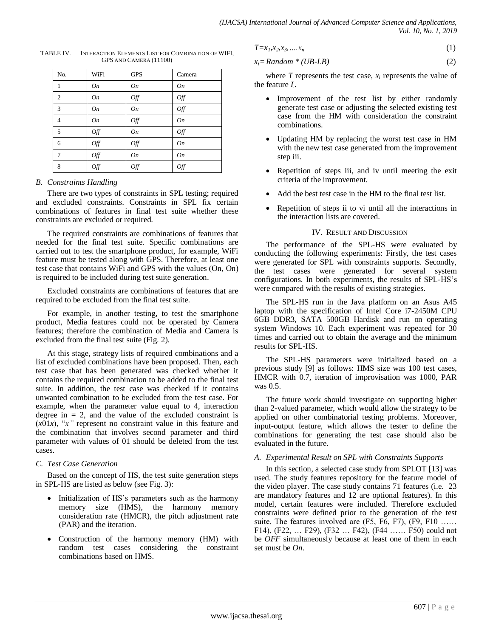| No.            | WiFi           | <b>GPS</b> | Camera         |
|----------------|----------------|------------|----------------|
| 1              | On             | On         | On             |
| 2              | On             | Off        | $\mathit{Off}$ |
| 3              | On             | On         | Off            |
| $\overline{4}$ | On             | Off        | On             |
| 5              | Off            | On         | Off            |
| 6              | Off            | Off        | On             |
| 7              | Off            | On         | On             |
| 8              | $\mathit{Off}$ | Off        | Off            |

TABLE IV. INTERACTION ELEMENTS LIST FOR COMBINATION OF WIFI, GPS AND CAMERA (11100)

#### *B. Constraints Handling*

There are two types of constraints in SPL testing; required and excluded constraints. Constraints in SPL fix certain combinations of features in final test suite whether these constraints are excluded or required.

The required constraints are combinations of features that needed for the final test suite. Specific combinations are carried out to test the smartphone product, for example, WiFi feature must be tested along with GPS. Therefore, at least one test case that contains WiFi and GPS with the values (On, On) is required to be included during test suite generation.

Excluded constraints are combinations of features that are required to be excluded from the final test suite.

For example, in another testing, to test the smartphone product, Media features could not be operated by Camera features; therefore the combination of Media and Camera is excluded from the final test suite (Fig. 2).

At this stage, strategy lists of required combinations and a list of excluded combinations have been proposed. Then, each test case that has been generated was checked whether it contains the required combination to be added to the final test suite. In addition, the test case was checked if it contains unwanted combination to be excluded from the test case. For example, when the parameter value equal to 4, interaction degree in  $= 2$ , and the value of the excluded constraint is  $(x01x)$ , " $x$ " represent no constraint value in this feature and the combination that involves second parameter and third parameter with values of 01 should be deleted from the test cases.

### *C. Test Case Generation*

Based on the concept of HS, the test suite generation steps in SPL-HS are listed as below (see Fig. 3):

- Initialization of HS's parameters such as the harmony memory size (HMS), the harmony memory consideration rate (HMCR), the pitch adjustment rate (PAR) and the iteration.
- Construction of the harmony memory (HM) with random test cases considering the constraint combinations based on HMS.

$$
T=x_1,x_2,x_3,\ldots,x_n\tag{1}
$$

$$
x_i = Random * (UB - LB)
$$
 (2)

where  $T$  represents the test case,  $x_i$  represents the value of the feature *I.* .

- Improvement of the test list by either randomly generate test case or adjusting the selected existing test case from the HM with consideration the constraint combinations.
- Updating HM by replacing the worst test case in HM with the new test case generated from the improvement step iii.
- Repetition of steps iii, and iv until meeting the exit criteria of the improvement.
- Add the best test case in the HM to the final test list.
- Repetition of steps ii to vi until all the interactions in the interaction lists are covered.

### IV. RESULT AND DISCUSSION

The performance of the SPL-HS were evaluated by conducting the following experiments: Firstly, the test cases were generated for SPL with constraints supports. Secondly, the test cases were generated for several system configurations. In both experiments, the results of SPL-HS's were compared with the results of existing strategies.

The SPL-HS run in the Java platform on an Asus A45 laptop with the specification of Intel Core i7-2450M CPU 6GB DDR3, SATA 500GB Hardisk and run on operating system Windows 10. Each experiment was repeated for 30 times and carried out to obtain the average and the minimum results for SPL-HS.

The SPL-HS parameters were initialized based on a previous study [9] as follows: HMS size was 100 test cases, HMCR with 0.7, iteration of improvisation was 1000, PAR was 0.5.

The future work should investigate on supporting higher than 2-valued parameter, which would allow the strategy to be applied on other combinatorial testing problems. Moreover, input-output feature, which allows the tester to define the combinations for generating the test case should also be evaluated in the future.

### *A. Experimental Result on SPL with Constraints Supports*

In this section, a selected case study from SPLOT [13] was used. The study features repository for the feature model of the video player. The case study contains 71 features (i.e. 23 are mandatory features and 12 are optional features). In this model, certain features were included. Therefore excluded constraints were defined prior to the generation of the test suite. The features involved are (F5, F6, F7), (F9, F10 …… F14), (F22, … F29), (F32 … F42), (F44 …… F50) could not be *OFF* simultaneously because at least one of them in each set must be *On*.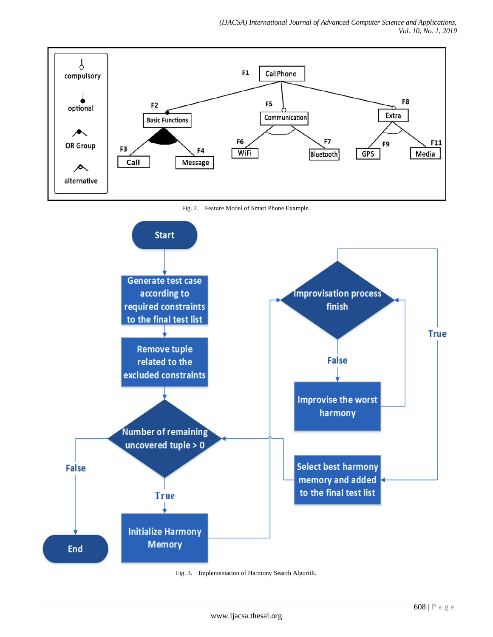memory and added to the final test list



Fig. 3. Implementation of Harmony Search Algorith.

**True** 

**Initialize Harmony Memory** 

**End**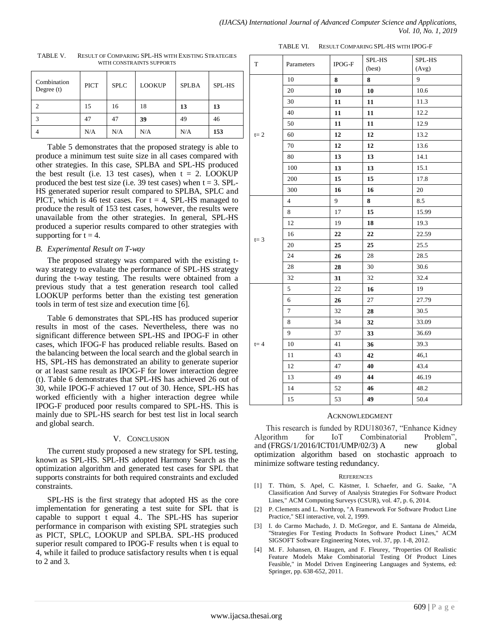| Combination<br>Degree $(t)$ | <b>PICT</b> | <b>SPLC</b> | <b>LOOKUP</b> | <b>SPLBA</b> | SPL-HS |  |
|-----------------------------|-------------|-------------|---------------|--------------|--------|--|
| $\mathfrak{D}$              | 15          | 16          | 18            | 13           | 13     |  |
| 3                           | 47          | 47          | 39            | 49           | 46     |  |
|                             | N/A         | N/A         | N/A           | N/A          | 153    |  |

TABLE V. RESULT OF COMPARING SPL-HS WITH EXISTING STRATEGIES WITH CONSTRAINTS SUPPORTS

Table 5 demonstrates that the proposed strategy is able to produce a minimum test suite size in all cases compared with other strategies. In this case, SPLBA and SPL-HS produced the best result (i.e. 13 test cases), when  $t = 2$ . LOOKUP produced the best test size (i.e. 39 test cases) when  $t = 3$ . SPL-HS generated superior result compared to SPLBA, SPLC and PICT, which is 46 test cases. For  $t = 4$ , SPL-HS managed to produce the result of 153 test cases, however, the results were unavailable from the other strategies. In general, SPL-HS produced a superior results compared to other strategies with supporting for  $t = 4$ .

# *B. Experimental Result on T-way*

The proposed strategy was compared with the existing tway strategy to evaluate the performance of SPL-HS strategy during the t-way testing. The results were obtained from a previous study that a test generation research tool called LOOKUP performs better than the existing test generation tools in term of test size and execution time [6].

Table 6 demonstrates that SPL-HS has produced superior results in most of the cases. Nevertheless, there was no significant difference between SPL-HS and IPOG-F in other cases, which IFOG-F has produced reliable results. Based on the balancing between the local search and the global search in HS, SPL-HS has demonstrated an ability to generate superior or at least same result as IPOG-F for lower interaction degree (t). Table 6 demonstrates that SPL-HS has achieved 26 out of 30, while IPOG-F achieved 17 out of 30. Hence, SPL-HS has worked efficiently with a higher interaction degree while IPOG-F produced poor results compared to SPL-HS. This is mainly due to SPL-HS search for best test list in local search and global search.

### V. CONCLUSION

The current study proposed a new strategy for SPL testing, known as SPL-HS. SPL-HS adopted Harmony Search as the optimization algorithm and generated test cases for SPL that supports constraints for both required constraints and excluded constraints.

SPL-HS is the first strategy that adopted HS as the core implementation for generating a test suite for SPL that is capable to support t equal 4.. The SPL-HS has superior performance in comparison with existing SPL strategies such as PICT, SPLC, LOOKUP and SPLBA. SPL-HS produced superior result compared to IPOG-F results when t is equal to 4, while it failed to produce satisfactory results when t is equal to 2 and 3.

| TABLE VI. | RESULT COMPARING SPL-HS WITH IPOG-F |
|-----------|-------------------------------------|
|-----------|-------------------------------------|

| $\mathbf T$ | Parameters     | IPOG-F | SPL-HS<br>(best) | SPL-HS<br>(Avg) |
|-------------|----------------|--------|------------------|-----------------|
|             | 10             | 8      | 8                | 9               |
|             | 20             | 10     | 10               | 10.6            |
|             | 30             | 11     | 11               | 11.3            |
|             | 40             | 11     | 11               | 12.2            |
|             | 50             | 11     | 11               | 12.9            |
| $t=2$       | 60             | 12     | 12               | 13.2            |
|             | 70             | 12     | 12               | 13.6            |
|             | 80             | 13     | 13               | 14.1            |
|             | 100            | 13     | 13               | 15.1            |
|             | 200            | 15     | 15               | 17.8            |
|             | 300            | 16     | 16               | 20              |
|             | $\overline{4}$ | 9      | 8                | 8.5             |
|             | 8              | 17     | 15               | 15.99           |
|             | 12             | 19     | 18               | 19.3            |
|             | 16             | 22     | 22               | 22.59           |
| $t = 3$     | 20             | 25     | 25               | 25.5            |
|             | 24             | 26     | 28               | 28.5            |
|             | 28             | 28     | 30               | 30.6            |
|             | 32             | 31     | 32               | 32.4            |
|             | 5              | 22     | 16               | 19              |
|             | 6              | 26     | 27               | 27.79           |
|             | $\tau$         | 32     | 28               | 30.5            |
|             | 8              | 34     | 32               | 33.09           |
| $t = 4$     | 9              | 37     | 33               | 36.69           |
|             | 10             | 41     | 36               | 39.3            |
|             | 11             | 43     | 42               | 46,1            |
|             | 12             | 47     | 40               | 43.4            |
|             | 13             | 49     | 44               | 46.19           |
|             | 14             | 52     | 46               | 48.2            |
|             | 15             | 53     | 49               | 50.4            |
|             |                |        |                  |                 |

### ACKNOWLEDGMENT

This research is funded by RDU180367, "Enhance Kidney Algorithm for IoT Combinatorial Problem", and  $(FRGS/1/2016/ICT01/UMP/02/3)$  A new global optimization algorithm based on stochastic approach to minimize software testing redundancy.

#### **REFERENCES**

- [1] T. Thüm, S. Apel, C. Kästner, I. Schaefer, and G. Saake, "A Classification And Survey of Analysis Strategies For Software Product Lines," ACM Computing Surveys (CSUR), vol. 47, p. 6, 2014.
- [2] P. Clements and L. Northrop, "A Framework For Software Product Line Practice," SEI interactive, vol. 2, 1999.
- [3] I. do Carmo Machado, J. D. McGregor, and E. Santana de Almeida, "Strategies For Testing Products In Software Product Lines," ACM SIGSOFT Software Engineering Notes, vol. 37, pp. 1-8, 2012.
- [4] M. F. Johansen, Ø. Haugen, and F. Fleurey, "Properties Of Realistic Feature Models Make Combinatorial Testing Of Product Lines Feasible," in Model Driven Engineering Languages and Systems, ed: Springer, pp. 638-652, 2011.